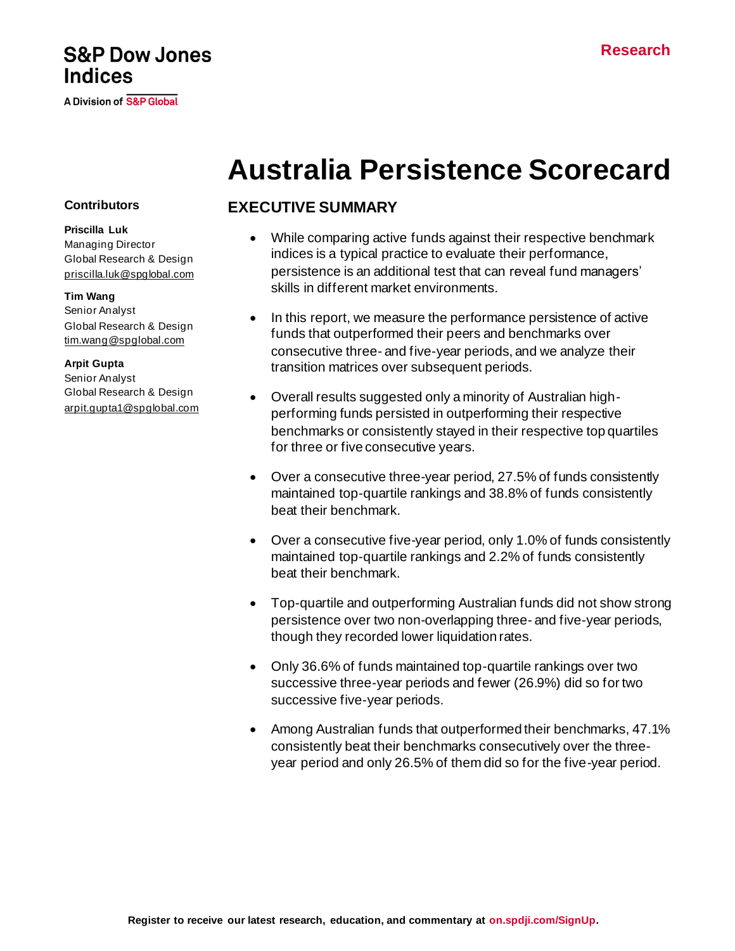## **S&P Dow Jones Indices**

A Division of S&P Global

# **Australia Persistence Scorecard**

#### **EXECUTIVE SUMMARY**

- While comparing active funds against their respective benchmark indices is a typical practice to evaluate their performance, persistence is an additional test that can reveal fund managers' skills in different market environments.
- In this report, we measure the performance persistence of active funds that outperformed their peers and benchmarks over consecutive three- and five-year periods, and we analyze their transition matrices over subsequent periods.
- Overall results suggested only a minority of Australian highperforming funds persisted in outperforming their respective benchmarks or consistently stayed in their respective top quartiles for three or five consecutive years.
- Over a consecutive three-year period, 27.5% of funds consistently maintained top-quartile rankings and 38.8% of funds consistently beat their benchmark.
- Over a consecutive five-year period, only 1.0% of funds consistently maintained top-quartile rankings and 2.2% of funds consistently beat their benchmark.
- Top-quartile and outperforming Australian funds did not show strong persistence over two non-overlapping three- and five-year periods, though they recorded lower liquidation rates.
- Only 36.6% of funds maintained top-quartile rankings over two successive three-year periods and fewer (26.9%) did so for two successive five-year periods.
- Among Australian funds that outperformed their benchmarks, 47.1% consistently beat their benchmarks consecutively over the threeyear period and only 26.5% of them did so for the five-year period.

#### **Contributors**

**Priscilla Luk** Managing Director Global Research & Design [priscilla.luk@spglobal.com](mailto:priscilla.luk@spglobal.com)

#### **Tim Wang**

Senior Analyst Global Research & Design [tim.wang@spglobal.com](mailto:tim.wang@spglobal.com)

#### **Arpit Gupta**

Senior Analyst Global Research & Design [arpit.gupta1@spglobal.com](mailto:arpit.gupta1@spglobal.com)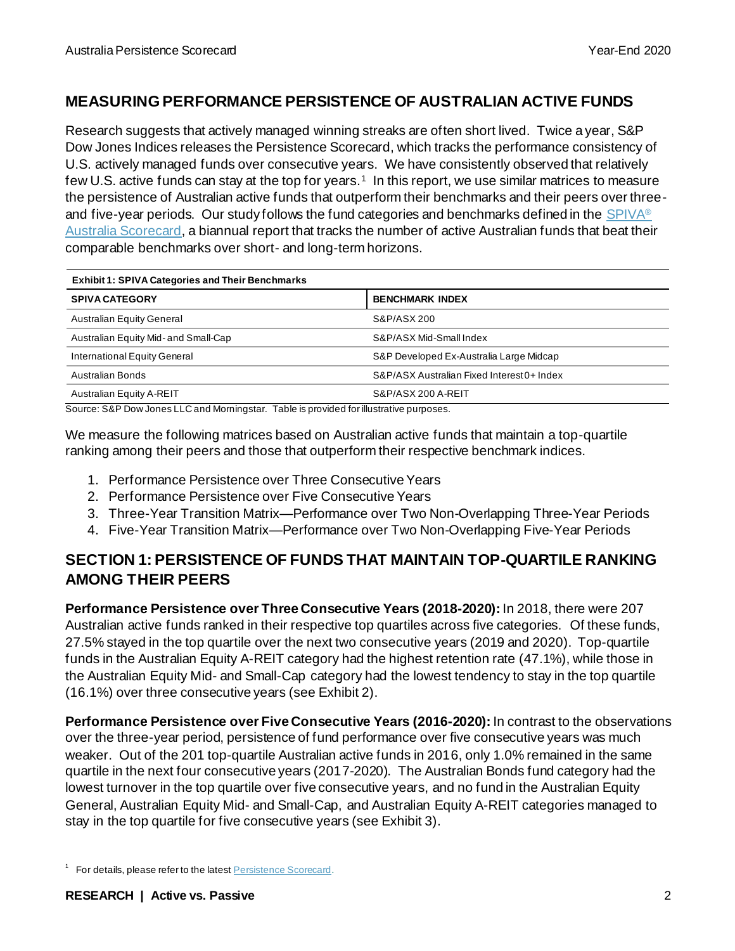### **MEASURING PERFORMANCE PERSISTENCE OF AUSTRALIAN ACTIVE FUNDS**

Research suggests that actively managed winning streaks are often short lived. Twice a year, S&P Dow Jones Indices releases the Persistence Scorecard, which tracks the performance consistency of U.S. actively managed funds over consecutive years. We have consistently observed that relatively few U.S. active funds can stay at the top for years.<sup>1</sup> In this report, we use similar matrices to measure the persistence of Australian active funds that outperform their benchmarks and their peers over threeand five-year periods. Our study follows the fund categories and benchmarks defined in th[e SPIVA](https://www.spglobal.com/spdji/en/spiva/article/spiva-australia/)<sup>®</sup> [Australia Scorecard,](https://www.spglobal.com/spdji/en/spiva/article/spiva-australia/) a biannual report that tracks the number of active Australian funds that beat their comparable benchmarks over short- and long-term horizons.

| <b>Exhibit 1: SPIVA Categories and Their Benchmarks</b> |                                            |  |  |  |
|---------------------------------------------------------|--------------------------------------------|--|--|--|
| <b>SPIVA CATEGORY</b>                                   | <b>BENCHMARK INDEX</b>                     |  |  |  |
| <b>Australian Equity General</b>                        | S&P/ASX 200                                |  |  |  |
| Australian Equity Mid- and Small-Cap                    | S&P/ASX Mid-Small Index                    |  |  |  |
| International Equity General                            | S&P Developed Ex-Australia Large Midcap    |  |  |  |
| Australian Bonds                                        | S&P/ASX Australian Fixed Interest 0+ Index |  |  |  |
| Australian Equity A-REIT<br>.                           | S&P/ASX 200 A-REIT                         |  |  |  |

Source: S&P Dow Jones LLC and Morningstar. Table is provided for illustrative purposes.

We measure the following matrices based on Australian active funds that maintain a top-quartile ranking among their peers and those that outperform their respective benchmark indices.

- 1. Performance Persistence over Three Consecutive Years
- 2. Performance Persistence over Five Consecutive Years
- 3. Three-Year Transition Matrix—Performance over Two Non-Overlapping Three-Year Periods
- 4. Five-Year Transition Matrix—Performance over Two Non-Overlapping Five-Year Periods

### **SECTION 1: PERSISTENCE OF FUNDS THAT MAINTAIN TOP-QUARTILE RANKING AMONG THEIR PEERS**

**Performance Persistence over Three Consecutive Years (2018-2020):** In 2018, there were 207 Australian active funds ranked in their respective top quartiles across five categories. Of these funds, 27.5% stayed in the top quartile over the next two consecutive years (2019 and 2020). Top-quartile funds in the Australian Equity A-REIT category had the highest retention rate (47.1%), while those in the Australian Equity Mid- and Small-Cap category had the lowest tendency to stay in the top quartile (16.1%) over three consecutive years (see Exhibit 2).

**Performance Persistence over Five Consecutive Years (2016-2020):**In contrast to the observations over the three-year period, persistence of fund performance over five consecutive years was much weaker. Out of the 201 top-quartile Australian active funds in 2016, only 1.0% remained in the same quartile in the next four consecutive years (2017-2020). The Australian Bonds fund category had the lowest turnover in the top quartile over five consecutive years, and no fund in the Australian Equity General, Australian Equity Mid- and Small-Cap, and Australian Equity A-REIT categories managed to stay in the top quartile for five consecutive years (see Exhibit 3).

<sup>&</sup>lt;sup>1</sup> For details, please refer to the latest **Persistence Scorecard**.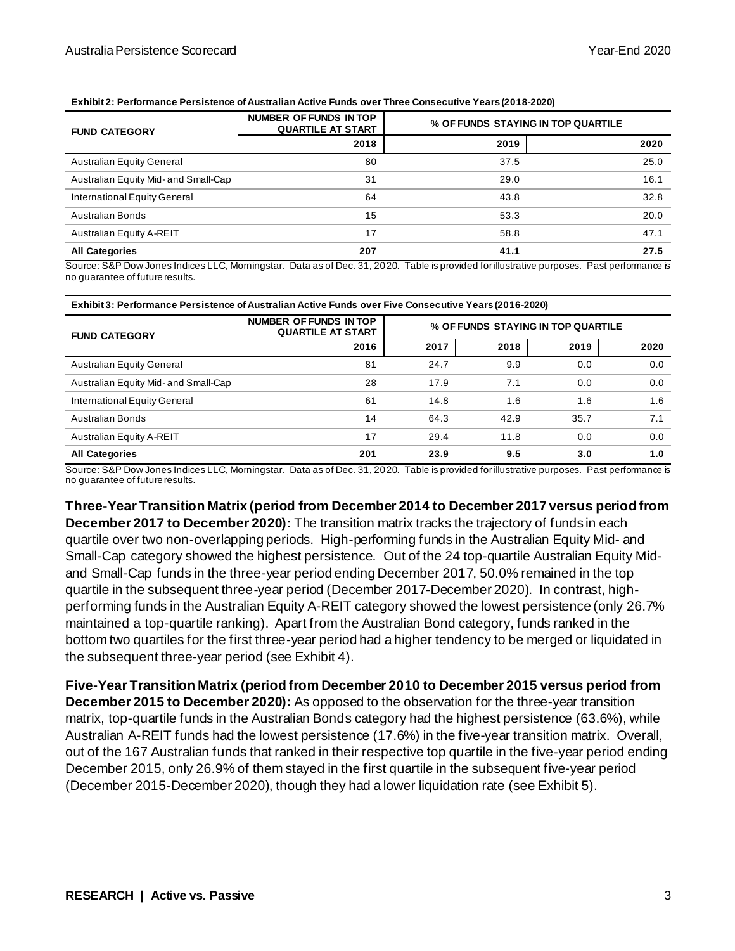**Exhibit 2: Performance Persistence of Australian Active Funds over Three Consecutive Years (2018-2020)**

| <b>FUND CATEGORY</b>                 | NUMBER OF FUNDS IN TOP<br><b>QUARTILE AT START</b> |      | % OF FUNDS STAYING IN TOP QUARTILE |
|--------------------------------------|----------------------------------------------------|------|------------------------------------|
|                                      | 2018                                               | 2019 | 2020                               |
| <b>Australian Equity General</b>     | 80                                                 | 37.5 | 25.0                               |
| Australian Equity Mid- and Small-Cap | 31                                                 | 29.0 | 16.1                               |
| International Equity General         | 64                                                 | 43.8 | 32.8                               |
| Australian Bonds                     | 15                                                 | 53.3 | 20.0                               |
| Australian Equity A-REIT             | 17                                                 | 58.8 | 47.1                               |
| <b>All Categories</b>                | 207                                                | 41.1 | 27.5                               |

Source: S&P Dow Jones Indices LLC, Morningstar. Data as of Dec. 31, 2020. Table is provided for illustrative purposes. Past performance is no guarantee of future results.

| <b>FUND CATEGORY</b>                 | NUMBER OF FUNDS IN TOP<br><b>QUARTILE AT START</b> | % OF FUNDS STAYING IN TOP QUARTILE |      |      |      |
|--------------------------------------|----------------------------------------------------|------------------------------------|------|------|------|
|                                      | 2016                                               | 2017                               | 2018 | 2019 | 2020 |
| <b>Australian Equity General</b>     | 81                                                 | 24.7                               | 9.9  | 0.0  | 0.0  |
| Australian Equity Mid- and Small-Cap | 28                                                 | 17.9                               | 7.1  | 0.0  | 0.0  |
| International Equity General         | 61                                                 | 14.8                               | 1.6  | 1.6  | 1.6  |
| <b>Australian Bonds</b>              | 14                                                 | 64.3                               | 42.9 | 35.7 | 7.1  |
| Australian Equity A-REIT             | 17                                                 | 29.4                               | 11.8 | 0.0  | 0.0  |
| <b>All Categories</b>                | 201                                                | 23.9                               | 9.5  | 3.0  | 1.0  |

Source: S&P Dow Jones Indices LLC, Morningstar. Data as of Dec. 31, 2020. Table is provided for illustrative purposes. Past performance is no guarantee of future results.

**Three-Year Transition Matrix (period from December 2014 to December 2017 versus period from December 2017 to December 2020):** The transition matrix tracks the trajectory of funds in each quartile over two non-overlapping periods. High-performing funds in the Australian Equity Mid- and Small-Cap category showed the highest persistence. Out of the 24 top-quartile Australian Equity Midand Small-Cap funds in the three-year period ending December 2017, 50.0% remained in the top quartile in the subsequent three-year period (December 2017-December 2020). In contrast, highperforming funds in the Australian Equity A-REIT category showed the lowest persistence (only 26.7% maintained a top-quartile ranking). Apart from the Australian Bond category, funds ranked in the bottom two quartiles for the first three-year period had a higher tendency to be merged or liquidated in the subsequent three-year period (see Exhibit 4).

**Five-Year Transition Matrix (period from December 2010 to December 2015 versus period from December 2015 to December 2020):** As opposed to the observation for the three-year transition matrix, top-quartile funds in the Australian Bonds category had the highest persistence (63.6%), while Australian A-REIT funds had the lowest persistence (17.6%) in the five-year transition matrix. Overall, out of the 167 Australian funds that ranked in their respective top quartile in the five-year period ending December 2015, only 26.9% of them stayed in the first quartile in the subsequent five-year period (December 2015-December 2020), though they had a lower liquidation rate (see Exhibit 5).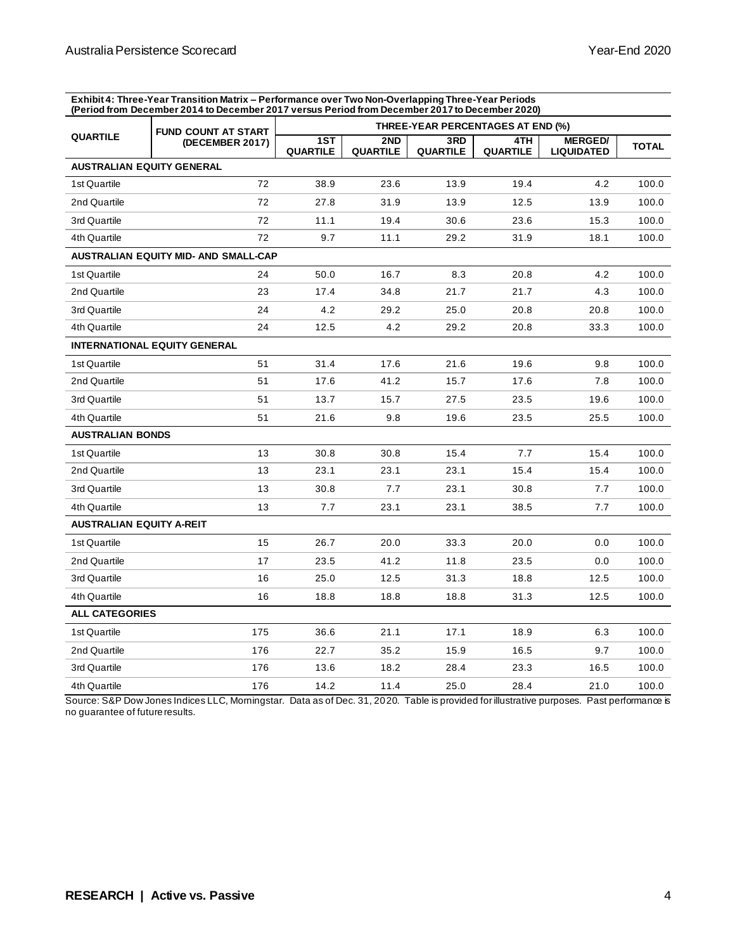**Exhibit 4: Three-Year Transition Matrix – Performance over Two Non-Overlapping Three-Year Periods (Period from December 2014 to December 2017 versus Period from December 2017 to December 2020)**

| <b>FUND COUNT AT START</b>       |                                      | THREE-YEAR PERCENTAGES AT END (%) |                        |                        |                 |                                     |              |
|----------------------------------|--------------------------------------|-----------------------------------|------------------------|------------------------|-----------------|-------------------------------------|--------------|
| <b>QUARTILE</b>                  | (DECEMBER 2017)                      | 1ST<br><b>QUARTILE</b>            | 2ND<br><b>QUARTILE</b> | 3RD<br><b>QUARTILE</b> | 4TH<br>QUARTILE | <b>MERGED/</b><br><b>LIQUIDATED</b> | <b>TOTAL</b> |
| <b>AUSTRALIAN EQUITY GENERAL</b> |                                      |                                   |                        |                        |                 |                                     |              |
| 1st Quartile                     | 72                                   | 38.9                              | 23.6                   | 13.9                   | 19.4            | 4.2                                 | 100.0        |
| 2nd Quartile                     | 72                                   | 27.8                              | 31.9                   | 13.9                   | 12.5            | 13.9                                | 100.0        |
| 3rd Quartile                     | 72                                   | 11.1                              | 19.4                   | 30.6                   | 23.6            | 15.3                                | 100.0        |
| 4th Quartile                     | 72                                   | 9.7                               | 11.1                   | 29.2                   | 31.9            | 18.1                                | 100.0        |
|                                  | AUSTRALIAN EQUITY MID- AND SMALL-CAP |                                   |                        |                        |                 |                                     |              |
| 1st Quartile                     | 24                                   | 50.0                              | 16.7                   | 8.3                    | 20.8            | 4.2                                 | 100.0        |
| 2nd Quartile                     | 23                                   | 17.4                              | 34.8                   | 21.7                   | 21.7            | 4.3                                 | 100.0        |
| 3rd Quartile                     | 24                                   | 4.2                               | 29.2                   | 25.0                   | 20.8            | 20.8                                | 100.0        |
| 4th Quartile                     | 24                                   | 12.5                              | 4.2                    | 29.2                   | 20.8            | 33.3                                | 100.0        |
|                                  | <b>INTERNATIONAL EQUITY GENERAL</b>  |                                   |                        |                        |                 |                                     |              |
| 1st Quartile                     | 51                                   | 31.4                              | 17.6                   | 21.6                   | 19.6            | 9.8                                 | 100.0        |
| 2nd Quartile                     | 51                                   | 17.6                              | 41.2                   | 15.7                   | 17.6            | 7.8                                 | 100.0        |
| 3rd Quartile                     | 51                                   | 13.7                              | 15.7                   | 27.5                   | 23.5            | 19.6                                | 100.0        |
| 4th Quartile                     | 51                                   | 21.6                              | 9.8                    | 19.6                   | 23.5            | 25.5                                | 100.0        |
| <b>AUSTRALIAN BONDS</b>          |                                      |                                   |                        |                        |                 |                                     |              |
| 1st Quartile                     | 13                                   | 30.8                              | 30.8                   | 15.4                   | 7.7             | 15.4                                | 100.0        |
| 2nd Quartile                     | 13                                   | 23.1                              | 23.1                   | 23.1                   | 15.4            | 15.4                                | 100.0        |
| 3rd Quartile                     | 13                                   | 30.8                              | 7.7                    | 23.1                   | 30.8            | 7.7                                 | 100.0        |
| 4th Quartile                     | 13                                   | 7.7                               | 23.1                   | 23.1                   | 38.5            | 7.7                                 | 100.0        |
| <b>AUSTRALIAN EQUITY A-REIT</b>  |                                      |                                   |                        |                        |                 |                                     |              |
| 1st Quartile                     | 15                                   | 26.7                              | 20.0                   | 33.3                   | 20.0            | 0.0                                 | 100.0        |
| 2nd Quartile                     | 17                                   | 23.5                              | 41.2                   | 11.8                   | 23.5            | 0.0                                 | 100.0        |
| 3rd Quartile                     | 16                                   | 25.0                              | 12.5                   | 31.3                   | 18.8            | 12.5                                | 100.0        |
| 4th Quartile                     | 16                                   | 18.8                              | 18.8                   | 18.8                   | 31.3            | 12.5                                | 100.0        |
| <b>ALL CATEGORIES</b>            |                                      |                                   |                        |                        |                 |                                     |              |
| 1st Quartile                     | 175                                  | 36.6                              | 21.1                   | 17.1                   | 18.9            | 6.3                                 | 100.0        |
| 2nd Quartile                     | 176                                  | 22.7                              | 35.2                   | 15.9                   | 16.5            | 9.7                                 | 100.0        |
| 3rd Quartile                     | 176                                  | 13.6                              | 18.2                   | 28.4                   | 23.3            | 16.5                                | 100.0        |
| 4th Quartile                     | 176                                  | 14.2                              | 11.4                   | 25.0                   | 28.4            | 21.0                                | 100.0        |

Source: S&P Dow Jones Indices LLC, Morningstar. Data as of Dec. 31, 2020. Table is provided for illustrative purposes. Past performance is no guarantee of future results.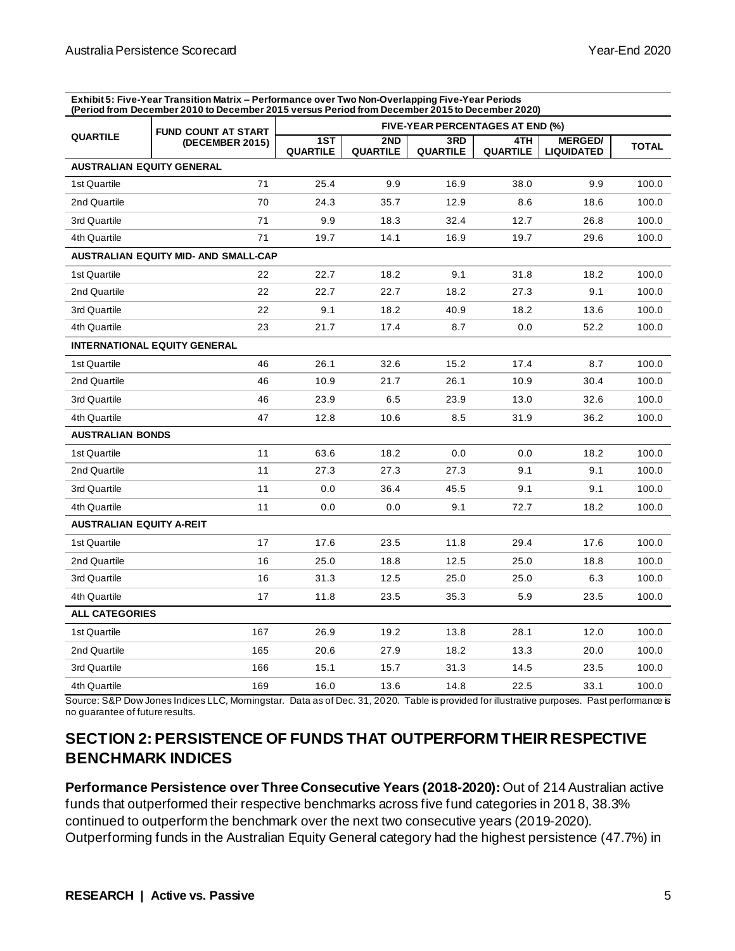**Exhibit 5: Five-Year Transition Matrix – Performance over Two Non-Overlapping Five-Year Periods (Period from December 2010 to December 2015 versus Period from December 2015 to December 2020)**

|                                  | <b>FUND COUNT AT START</b>                  |                        | <b>FIVE-YEAR PERCENTAGES AT END (%)</b> |                 |                 |                                     |              |  |
|----------------------------------|---------------------------------------------|------------------------|-----------------------------------------|-----------------|-----------------|-------------------------------------|--------------|--|
| <b>QUARTILE</b>                  | (DECEMBER 2015)                             | 1ST<br><b>QUARTILE</b> | 2ND<br><b>QUARTILE</b>                  | 3RD<br>QUARTILE | 4TH<br>QUARTILE | <b>MERGED/</b><br><b>LIQUIDATED</b> | <b>TOTAL</b> |  |
| <b>AUSTRALIAN EQUITY GENERAL</b> |                                             |                        |                                         |                 |                 |                                     |              |  |
| 1st Quartile                     | 71                                          | 25.4                   | 9.9                                     | 16.9            | 38.0            | 9.9                                 | 100.0        |  |
| 2nd Quartile                     | 70                                          | 24.3                   | 35.7                                    | 12.9            | 8.6             | 18.6                                | 100.0        |  |
| 3rd Quartile                     | 71                                          | 9.9                    | 18.3                                    | 32.4            | 12.7            | 26.8                                | 100.0        |  |
| 4th Quartile                     | 71                                          | 19.7                   | 14.1                                    | 16.9            | 19.7            | 29.6                                | 100.0        |  |
|                                  | <b>AUSTRALIAN EQUITY MID- AND SMALL-CAP</b> |                        |                                         |                 |                 |                                     |              |  |
| 1st Quartile                     | 22                                          | 22.7                   | 18.2                                    | 9.1             | 31.8            | 18.2                                | 100.0        |  |
| 2nd Quartile                     | 22                                          | 22.7                   | 22.7                                    | 18.2            | 27.3            | 9.1                                 | 100.0        |  |
| 3rd Quartile                     | 22                                          | 9.1                    | 18.2                                    | 40.9            | 18.2            | 13.6                                | 100.0        |  |
| 4th Quartile                     | 23                                          | 21.7                   | 17.4                                    | 8.7             | 0.0             | 52.2                                | 100.0        |  |
|                                  | <b>INTERNATIONAL EQUITY GENERAL</b>         |                        |                                         |                 |                 |                                     |              |  |
| 1st Quartile                     | 46                                          | 26.1                   | 32.6                                    | 15.2            | 17.4            | 8.7                                 | 100.0        |  |
| 2nd Quartile                     | 46                                          | 10.9                   | 21.7                                    | 26.1            | 10.9            | 30.4                                | 100.0        |  |
| 3rd Quartile                     | 46                                          | 23.9                   | 6.5                                     | 23.9            | 13.0            | 32.6                                | 100.0        |  |
| 4th Quartile                     | 47                                          | 12.8                   | 10.6                                    | 8.5             | 31.9            | 36.2                                | 100.0        |  |
| <b>AUSTRALIAN BONDS</b>          |                                             |                        |                                         |                 |                 |                                     |              |  |
| 1st Quartile                     | 11                                          | 63.6                   | 18.2                                    | 0.0             | 0.0             | 18.2                                | 100.0        |  |
| 2nd Quartile                     | 11                                          | 27.3                   | 27.3                                    | 27.3            | 9.1             | 9.1                                 | 100.0        |  |
| 3rd Quartile                     | 11                                          | 0.0                    | 36.4                                    | 45.5            | 9.1             | 9.1                                 | 100.0        |  |
| 4th Quartile                     | 11                                          | 0.0                    | 0.0                                     | 9.1             | 72.7            | 18.2                                | 100.0        |  |
| <b>AUSTRALIAN EQUITY A-REIT</b>  |                                             |                        |                                         |                 |                 |                                     |              |  |
| 1st Quartile                     | 17                                          | 17.6                   | 23.5                                    | 11.8            | 29.4            | 17.6                                | 100.0        |  |
| 2nd Quartile                     | 16                                          | 25.0                   | 18.8                                    | 12.5            | 25.0            | 18.8                                | 100.0        |  |
| 3rd Quartile                     | 16                                          | 31.3                   | 12.5                                    | 25.0            | 25.0            | 6.3                                 | 100.0        |  |
| 4th Quartile                     | 17                                          | 11.8                   | 23.5                                    | 35.3            | 5.9             | 23.5                                | 100.0        |  |
| <b>ALL CATEGORIES</b>            |                                             |                        |                                         |                 |                 |                                     |              |  |
| 1st Quartile                     | 167                                         | 26.9                   | 19.2                                    | 13.8            | 28.1            | 12.0                                | 100.0        |  |
| 2nd Quartile                     | 165                                         | 20.6                   | 27.9                                    | 18.2            | 13.3            | 20.0                                | 100.0        |  |
| 3rd Quartile                     | 166                                         | 15.1                   | 15.7                                    | 31.3            | 14.5            | 23.5                                | 100.0        |  |
| 4th Quartile                     | 169                                         | 16.0                   | 13.6                                    | 14.8            | 22.5            | 33.1                                | 100.0        |  |

Source: S&P Dow Jones Indices LLC, Morningstar. Data as of Dec. 31, 2020. Table is provided for illustrative purposes. Past performance is no guarantee of future results.

## **SECTION 2: PERSISTENCE OF FUNDS THAT OUTPERFORM THEIR RESPECTIVE BENCHMARK INDICES**

**Performance Persistence over Three Consecutive Years (2018-2020):** Out of 214 Australian active funds that outperformed their respective benchmarks across five fund categories in 2018, 38.3% continued to outperform the benchmark over the next two consecutive years (2019-2020). Outperforming funds in the Australian Equity General category had the highest persistence (47.7%) in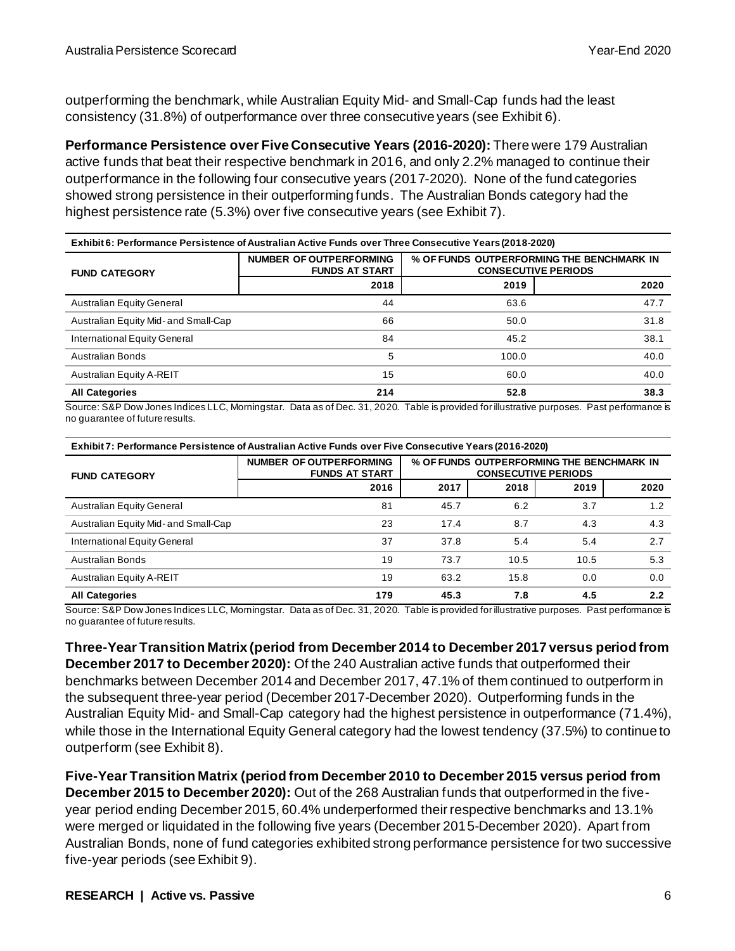outperforming the benchmark, while Australian Equity Mid- and Small-Cap funds had the least consistency (31.8%) of outperformance over three consecutive years (see Exhibit 6).

**Performance Persistence over Five Consecutive Years (2016-2020):** There were 179 Australian active funds that beat their respective benchmark in 2016, and only 2.2% managed to continue their outperformance in the following four consecutive years (2017-2020). None of the fund categories showed strong persistence in their outperforming funds. The Australian Bonds category had the highest persistence rate (5.3%) over five consecutive years (see Exhibit 7).

| Exhibit 6: Performance Persistence of Australian Active Funds over Three Consecutive Years (2018-2020) |                                                  |       |                                                                         |  |  |  |
|--------------------------------------------------------------------------------------------------------|--------------------------------------------------|-------|-------------------------------------------------------------------------|--|--|--|
| <b>FUND CATEGORY</b>                                                                                   | NUMBER OF OUTPERFORMING<br><b>FUNDS AT START</b> |       | % OF FUNDS OUTPERFORMING THE BENCHMARK IN<br><b>CONSECUTIVE PERIODS</b> |  |  |  |
|                                                                                                        | 2018                                             | 2019  | 2020                                                                    |  |  |  |
| Australian Equity General                                                                              | 44                                               | 63.6  | 47.7                                                                    |  |  |  |
| Australian Equity Mid- and Small-Cap                                                                   | 66                                               | 50.0  | 31.8                                                                    |  |  |  |
| International Equity General                                                                           | 84                                               | 45.2  | 38.1                                                                    |  |  |  |
| Australian Bonds                                                                                       | 5                                                | 100.0 | 40.0                                                                    |  |  |  |
| Australian Equity A-REIT                                                                               | 15                                               | 60.0  | 40.0                                                                    |  |  |  |
| <b>All Categories</b>                                                                                  | 214                                              | 52.8  | 38.3                                                                    |  |  |  |

Source: S&P Dow Jones Indices LLC, Morningstar. Data as of Dec. 31, 2020. Table is provided for illustrative purposes. Past performance is no guarantee of future results.

| Exhibit 7: Performance Persistence of Australian Active Funds over Five Consecutive Years (2016-2020) |                                                         |                                           |      |      |      |  |
|-------------------------------------------------------------------------------------------------------|---------------------------------------------------------|-------------------------------------------|------|------|------|--|
| <b>FUND CATEGORY</b>                                                                                  | <b>NUMBER OF OUTPERFORMING</b><br><b>FUNDS AT START</b> | % OF FUNDS OUTPERFORMING THE BENCHMARK IN |      |      |      |  |
|                                                                                                       | 2016                                                    | 2017                                      | 2018 | 2019 | 2020 |  |
| <b>Australian Equity General</b>                                                                      | 81                                                      | 45.7                                      | 6.2  | 3.7  | 1.2  |  |
| Australian Equity Mid- and Small-Cap                                                                  | 23                                                      | 17.4                                      | 8.7  | 4.3  | 4.3  |  |
| International Equity General                                                                          | 37                                                      | 37.8                                      | 5.4  | 5.4  | 2.7  |  |
| Australian Bonds                                                                                      | 19                                                      | 73.7                                      | 10.5 | 10.5 | 5.3  |  |
| Australian Equity A-REIT                                                                              | 19                                                      | 63.2                                      | 15.8 | 0.0  | 0.0  |  |
| 4.5<br><b>All Categories</b><br>179<br>45.3<br>7.8                                                    |                                                         |                                           |      |      | 2.2  |  |

Source: S&P Dow Jones Indices LLC, Morningstar. Data as of Dec. 31, 2020. Table is provided for illustrative purposes. Past performance is no guarantee of future results.

**Three-Year Transition Matrix (period from December 2014 to December 2017 versus period from December 2017 to December 2020):** Of the 240 Australian active funds that outperformed their benchmarks between December 2014 and December 2017, 47.1% of them continued to outperform in the subsequent three-year period (December 2017-December 2020). Outperforming funds in the Australian Equity Mid- and Small-Cap category had the highest persistence in outperformance (71.4%), while those in the International Equity General category had the lowest tendency (37.5%) to continue to outperform (see Exhibit 8).

**Five-Year Transition Matrix (period from December 2010 to December 2015 versus period from December 2015 to December 2020):** Out of the 268 Australian funds that outperformed in the fiveyear period ending December 2015, 60.4% underperformed their respective benchmarks and 13.1% were merged or liquidated in the following five years (December 2015-December 2020). Apart from Australian Bonds, none of fund categories exhibited strong performance persistence for two successive five-year periods (see Exhibit 9).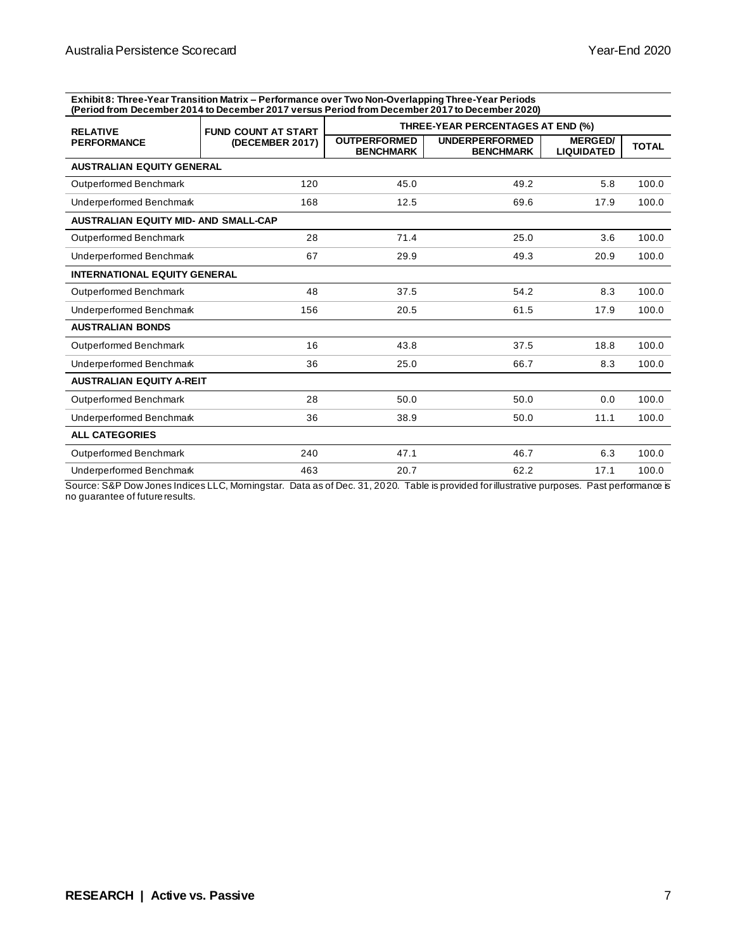**Exhibit 8: Three-Year Transition Matrix – Performance over Two Non-Overlapping Three-Year Periods (Period from December 2014 to December 2017 versus Period from December 2017 to December 2020)**

| <b>RELATIVE</b>                             | <b>FUND COUNT AT START</b> | THREE-YEAR PERCENTAGES AT END (%)       |                                           |                                     |              |  |
|---------------------------------------------|----------------------------|-----------------------------------------|-------------------------------------------|-------------------------------------|--------------|--|
| <b>PERFORMANCE</b>                          | (DECEMBER 2017)            | <b>OUTPERFORMED</b><br><b>BENCHMARK</b> | <b>UNDERPERFORMED</b><br><b>BENCHMARK</b> | <b>MERGED/</b><br><b>LIQUIDATED</b> | <b>TOTAL</b> |  |
| <b>AUSTRALIAN EQUITY GENERAL</b>            |                            |                                         |                                           |                                     |              |  |
| Outperformed Benchmark                      | 120                        | 45.0                                    | 49.2                                      | 5.8                                 | 100.0        |  |
| Underperformed Benchmark                    | 168                        | 12.5                                    | 69.6                                      | 17.9                                | 100.0        |  |
| <b>AUSTRALIAN EQUITY MID- AND SMALL-CAP</b> |                            |                                         |                                           |                                     |              |  |
| Outperformed Benchmark                      | 28                         | 71.4                                    | 25.0                                      | 3.6                                 | 100.0        |  |
| Underperformed Benchmark                    | 67                         | 29.9                                    | 49.3                                      | 20.9                                | 100.0        |  |
| <b>INTERNATIONAL EQUITY GENERAL</b>         |                            |                                         |                                           |                                     |              |  |
| Outperformed Benchmark                      | 48                         | 37.5                                    | 54.2                                      | 8.3                                 | 100.0        |  |
| Underperformed Benchmark                    | 156                        | 20.5                                    | 61.5                                      | 17.9                                | 100.0        |  |
| <b>AUSTRALIAN BONDS</b>                     |                            |                                         |                                           |                                     |              |  |
| Outperformed Benchmark                      | 16                         | 43.8                                    | 37.5                                      | 18.8                                | 100.0        |  |
| Underperformed Benchmark                    | 36                         | 25.0                                    | 66.7                                      | 8.3                                 | 100.0        |  |
| <b>AUSTRALIAN EQUITY A-REIT</b>             |                            |                                         |                                           |                                     |              |  |
| Outperformed Benchmark                      | 28                         | 50.0                                    | 50.0                                      | 0.0                                 | 100.0        |  |
| Underperformed Benchmark                    | 36                         | 38.9                                    | 50.0                                      | 11.1                                | 100.0        |  |
| <b>ALL CATEGORIES</b>                       |                            |                                         |                                           |                                     |              |  |
| Outperformed Benchmark                      | 240                        | 47.1                                    | 46.7                                      | 6.3                                 | 100.0        |  |
| Underperformed Benchmark                    | 463                        | 20.7                                    | 62.2                                      | 17.1                                | 100.0        |  |

Source: S&P Dow Jones Indices LLC, Morningstar. Data as of Dec. 31, 2020. Table is provided for illustrative purposes. Past performance is no guarantee of future results.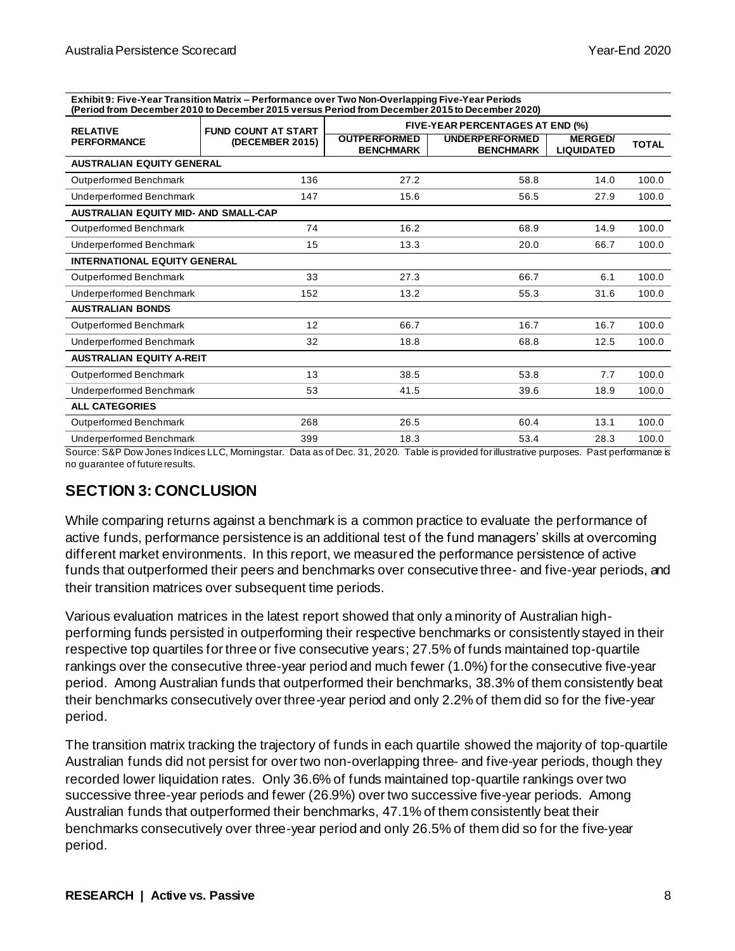**Exhibit 9: Five-Year Transition Matrix – Performance over Two Non-Overlapping Five-Year Periods (Period from December 2010 to December 2015 versus Period from December 2015 to December 2020)**

| <b>RELATIVE</b>                             | <b>FUND COUNT AT START</b> |                                         | FIVE-YEAR PERCENTAGES AT END (%)          |                                     |              |  |  |
|---------------------------------------------|----------------------------|-----------------------------------------|-------------------------------------------|-------------------------------------|--------------|--|--|
| <b>PERFORMANCE</b>                          | (DECEMBER 2015)            | <b>OUTPERFORMED</b><br><b>BENCHMARK</b> | <b>UNDERPERFORMED</b><br><b>BENCHMARK</b> | <b>MERGED/</b><br><b>LIQUIDATED</b> | <b>TOTAL</b> |  |  |
| <b>AUSTRALIAN EQUITY GENERAL</b>            |                            |                                         |                                           |                                     |              |  |  |
| Outperformed Benchmark                      | 136                        | 27.2                                    | 58.8                                      | 14.0                                | 100.0        |  |  |
| Underperformed Benchmark                    | 147                        | 15.6                                    | 56.5                                      | 27.9                                | 100.0        |  |  |
| <b>AUSTRALIAN EQUITY MID- AND SMALL-CAP</b> |                            |                                         |                                           |                                     |              |  |  |
| Outperformed Benchmark                      | 74                         | 16.2                                    | 68.9                                      | 14.9                                | 100.0        |  |  |
| Underperformed Benchmark                    | 15                         | 13.3                                    | 20.0                                      | 66.7                                | 100.0        |  |  |
| <b>INTERNATIONAL EQUITY GENERAL</b>         |                            |                                         |                                           |                                     |              |  |  |
| Outperformed Benchmark                      | 33                         | 27.3                                    | 66.7                                      | 6.1                                 | 100.0        |  |  |
| Underperformed Benchmark                    | 152                        | 13.2                                    | 55.3                                      | 31.6                                | 100.0        |  |  |
| <b>AUSTRALIAN BONDS</b>                     |                            |                                         |                                           |                                     |              |  |  |
| Outperformed Benchmark                      | 12                         | 66.7                                    | 16.7                                      | 16.7                                | 100.0        |  |  |
| Underperformed Benchmark                    | 32                         | 18.8                                    | 68.8                                      | 12.5                                | 100.0        |  |  |
| <b>AUSTRALIAN EQUITY A-REIT</b>             |                            |                                         |                                           |                                     |              |  |  |
| Outperformed Benchmark                      | 13                         | 38.5                                    | 53.8                                      | 7.7                                 | 100.0        |  |  |
| Underperformed Benchmark                    | 53                         | 41.5                                    | 39.6                                      | 18.9                                | 100.0        |  |  |
| <b>ALL CATEGORIES</b>                       |                            |                                         |                                           |                                     |              |  |  |
| Outperformed Benchmark                      | 268                        | 26.5                                    | 60.4                                      | 13.1                                | 100.0        |  |  |
| Underperformed Benchmark                    | 399                        | 18.3                                    | 53.4                                      | 28.3                                | 100.0        |  |  |

Source: S&P Dow Jones Indices LLC, Morningstar. Data as of Dec. 31, 2020. Table is provided for illustrative purposes. Past performance is no guarantee of future results.

### **SECTION 3: CONCLUSION**

While comparing returns against a benchmark is a common practice to evaluate the performance of active funds, performance persistence is an additional test of the fund managers' skills at overcoming different market environments. In this report, we measured the performance persistence of active funds that outperformed their peers and benchmarks over consecutive three- and five-year periods, and their transition matrices over subsequent time periods.

Various evaluation matrices in the latest report showed that only a minority of Australian highperforming funds persisted in outperforming their respective benchmarks or consistently stayed in their respective top quartiles for three or five consecutive years; 27.5% of funds maintained top-quartile rankings over the consecutive three-year period and much fewer (1.0%) for the consecutive five-year period. Among Australian funds that outperformed their benchmarks, 38.3% of them consistently beat their benchmarks consecutively over three-year period and only 2.2% of them did so for the five-year period.

The transition matrix tracking the trajectory of funds in each quartile showed the majority of top-quartile Australian funds did not persist for over two non-overlapping three- and five-year periods, though they recorded lower liquidation rates. Only 36.6% of funds maintained top-quartile rankings over two successive three-year periods and fewer (26.9%) over two successive five-year periods. Among Australian funds that outperformed their benchmarks, 47.1% of them consistently beat their benchmarks consecutively over three-year period and only 26.5% of them did so for the five-year period.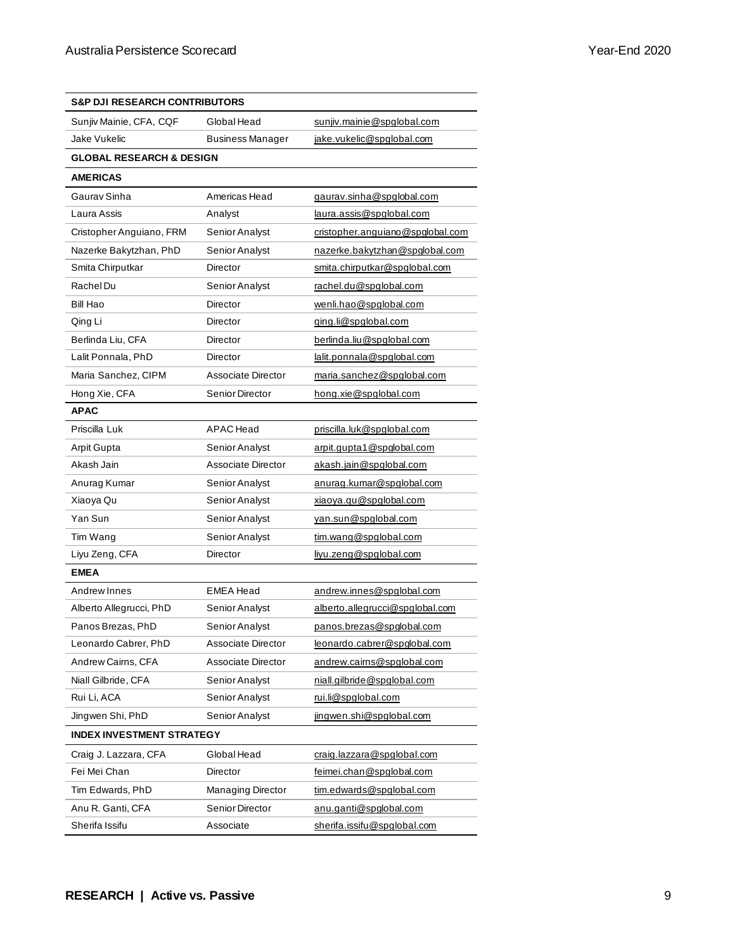| <b>S&amp;P DJI RESEARCH CONTRIBUTORS</b> |                       |                                  |  |  |  |  |
|------------------------------------------|-----------------------|----------------------------------|--|--|--|--|
| Sunjiv Mainie, CFA, CQF                  | Global Head           | sunjiv.mainie@spglobal.com       |  |  |  |  |
| Jake Vukelic                             | Business Manager      | jake.vukelic@spglobal.com        |  |  |  |  |
| <b>GLOBAL RESEARCH &amp; DESIGN</b>      |                       |                                  |  |  |  |  |
| <b>AMERICAS</b>                          |                       |                                  |  |  |  |  |
| Gauray Sinha                             | Americas Head         | gaurav.sinha@spglobal.com        |  |  |  |  |
| Laura Assis                              | Analyst               | laura.assis@spqlobal.com         |  |  |  |  |
| Cristopher Anguiano, FRM                 | Senior Analyst        | cristopher.anguiano@spglobal.com |  |  |  |  |
| Nazerke Bakytzhan, PhD                   | Senior Analyst        | nazerke.bakytzhan@spqlobal.com   |  |  |  |  |
| Smita Chirputkar                         | Director              | smita.chirputkar@spglobal.com    |  |  |  |  |
| Rachel Du                                | Senior Analyst        | rachel.du@spglobal.com           |  |  |  |  |
| Bill Hao                                 | Director              | wenli.hao@spglobal.com           |  |  |  |  |
| Qing Li                                  | Director              | ging.li@spglobal.com             |  |  |  |  |
| Berlinda Liu, CFA                        | Director              | berlinda.liu@spglobal.com        |  |  |  |  |
| Lalit Ponnala, PhD                       | Director              | lalit.ponnala@spqlobal.com       |  |  |  |  |
| Maria Sanchez, CIPM                      | Associate Director    | maria.sanchez@spglobal.com       |  |  |  |  |
| Hong Xie, CFA                            | Senior Director       | hong.xie@spglobal.com            |  |  |  |  |
| <b>APAC</b>                              |                       |                                  |  |  |  |  |
| Priscilla Luk                            | APAC Head             | priscilla.luk@spglobal.com       |  |  |  |  |
| <b>Arpit Gupta</b>                       | Senior Analyst        | arpit.qupta1@spqlobal.com        |  |  |  |  |
| Akash Jain                               | Associate Director    | akash.jain@spglobal.com          |  |  |  |  |
| Anurag Kumar                             | Senior Analyst        | anurag.kumar@spglobal.com        |  |  |  |  |
| Xiaoya Qu                                | Senior Analyst        | xiaoya.qu@spglobal.com           |  |  |  |  |
| Yan Sun                                  | Senior Analyst        | van.sun@spglobal.com             |  |  |  |  |
| Tim Wang                                 | Senior Analyst        | tim.wang@spglobal.com            |  |  |  |  |
| Liyu Zeng, CFA                           | Director              | livu.zeng@spglobal.com           |  |  |  |  |
| <b>EMEA</b>                              |                       |                                  |  |  |  |  |
| Andrew Innes                             | <b>EMEA Head</b>      | andrew.innes@spqlobal.com        |  |  |  |  |
| Alberto Allegrucci, PhD                  | Senior Analyst        | alberto.allegrucci@spglobal.com  |  |  |  |  |
| Panos Brezas, PhD                        | <b>Senior Analyst</b> | panos.brezas@spqlobal.com        |  |  |  |  |
| Leonardo Cabrer, PhD                     | Associate Director    | leonardo.cabrer@spglobal.com     |  |  |  |  |
| Andrew Cairns, CFA                       | Associate Director    | andrew.cairns@spqlobal.com       |  |  |  |  |
| Niall Gilbride, CFA                      | Senior Analyst        | niall.gilbride@spglobal.com      |  |  |  |  |
| Rui Li, ACA                              | Senior Analyst        | rui.li@spglobal.com              |  |  |  |  |
| Jingwen Shi, PhD                         | Senior Analyst        | jingwen.shi@spglobal.com         |  |  |  |  |
| <b>INDEX INVESTMENT STRATEGY</b>         |                       |                                  |  |  |  |  |
| Craig J. Lazzara, CFA                    | Global Head           | craig.lazzara@spglobal.com       |  |  |  |  |
| Fei Mei Chan                             | Director              | feimei.chan@spglobal.com         |  |  |  |  |
| Tim Edwards, PhD                         | Managing Director     | tim.edwards@spglobal.com         |  |  |  |  |
| Anu R. Ganti, CFA                        | Senior Director       | anu.ganti@spglobal.com           |  |  |  |  |
| Sherifa Issifu                           | Associate             | sherifa.issifu@spqlobal.com      |  |  |  |  |